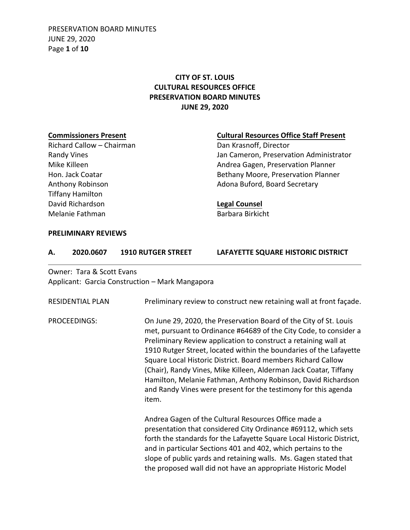PRESERVATION BOARD MINUTES JUNE 29, 2020 Page **1** of **10**

# **CITY OF ST. LOUIS CULTURAL RESOURCES OFFICE PRESERVATION BOARD MINUTES JUNE 29, 2020**

# **Commissioners Present**

Richard Callow – Chairman Randy Vines Mike Killeen Hon. Jack Coatar Anthony Robinson Tiffany Hamilton David Richardson Melanie Fathman

#### **Cultural Resources Office Staff Present**

Dan Krasnoff, Director Jan Cameron, Preservation Administrator Andrea Gagen, Preservation Planner Bethany Moore, Preservation Planner Adona Buford, Board Secretary

### **Legal Counsel**

Barbara Birkicht

#### **PRELIMINARY REVIEWS**

| 2020.0607 | <b>1910 RUTGER STREET</b> | LAFAYETTE SQUARE HISTORIC DISTRICT |
|-----------|---------------------------|------------------------------------|
|           |                           |                                    |

## Owner: Tara & Scott Evans Applicant: Garcia Construction – Mark Mangapora

| <b>RESIDENTIAL PLAN</b> | Preliminary review to construct new retaining wall at front façade.                                                                                                                                                                                                                                                                                                                                                                                                                                                                                              |
|-------------------------|------------------------------------------------------------------------------------------------------------------------------------------------------------------------------------------------------------------------------------------------------------------------------------------------------------------------------------------------------------------------------------------------------------------------------------------------------------------------------------------------------------------------------------------------------------------|
| <b>PROCEEDINGS:</b>     | On June 29, 2020, the Preservation Board of the City of St. Louis<br>met, pursuant to Ordinance #64689 of the City Code, to consider a<br>Preliminary Review application to construct a retaining wall at<br>1910 Rutger Street, located within the boundaries of the Lafayette<br>Square Local Historic District. Board members Richard Callow<br>(Chair), Randy Vines, Mike Killeen, Alderman Jack Coatar, Tiffany<br>Hamilton, Melanie Fathman, Anthony Robinson, David Richardson<br>and Randy Vines were present for the testimony for this agenda<br>item. |
|                         | Andrea Gagen of the Cultural Resources Office made a<br>presentation that considered City Ordinance #69112, which sets<br>forth the standards for the Lafayette Square Local Historic District,<br>and in particular Sections 401 and 402, which pertains to the<br>slope of public yards and retaining walls. Ms. Gagen stated that<br>the proposed wall did not have an appropriate Historic Model                                                                                                                                                             |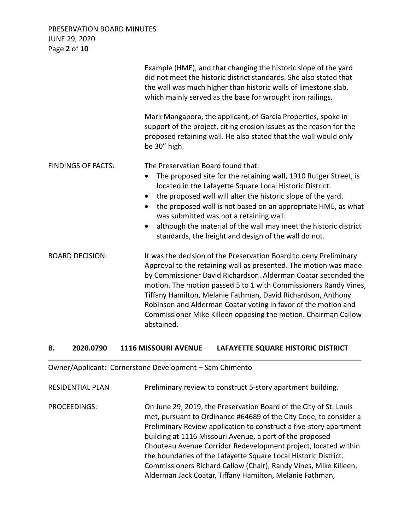PRESERVATION BOARD MINUTES JUNE 29, 2020 Page **2** of **10**

|                           | Example (HME), and that changing the historic slope of the yard<br>did not meet the historic district standards. She also stated that<br>the wall was much higher than historic walls of limestone slab,<br>which mainly served as the base for wrought iron railings.                                                                                                                                                                                                                        |
|---------------------------|-----------------------------------------------------------------------------------------------------------------------------------------------------------------------------------------------------------------------------------------------------------------------------------------------------------------------------------------------------------------------------------------------------------------------------------------------------------------------------------------------|
|                           | Mark Mangapora, the applicant, of Garcia Properties, spoke in<br>support of the project, citing erosion issues as the reason for the<br>proposed retaining wall. He also stated that the wall would only<br>be 30" high.                                                                                                                                                                                                                                                                      |
| <b>FINDINGS OF FACTS:</b> | The Preservation Board found that:<br>The proposed site for the retaining wall, 1910 Rutger Street, is<br>located in the Lafayette Square Local Historic District.<br>the proposed wall will alter the historic slope of the yard.<br>the proposed wall is not based on an appropriate HME, as what<br>was submitted was not a retaining wall.<br>although the material of the wall may meet the historic district<br>standards, the height and design of the wall do not.                    |
| <b>BOARD DECISION:</b>    | It was the decision of the Preservation Board to deny Preliminary<br>Approval to the retaining wall as presented. The motion was made<br>by Commissioner David Richardson. Alderman Coatar seconded the<br>motion. The motion passed 5 to 1 with Commissioners Randy Vines,<br>Tiffany Hamilton, Melanie Fathman, David Richardson, Anthony<br>Robinson and Alderman Coatar voting in favor of the motion and<br>Commissioner Mike Killeen opposing the motion. Chairman Callow<br>abstained. |

#### **B. 2020.0790 1116 MISSOURI AVENUE LAFAYETTE SQUARE HISTORIC DISTRICT**

Owner/Applicant: Cornerstone Development – Sam Chimento

RESIDENTIAL PLAN Preliminary review to construct 5-story apartment building.

PROCEEDINGS: On June 29, 2019, the Preservation Board of the City of St. Louis met, pursuant to Ordinance #64689 of the City Code, to consider a Preliminary Review application to construct a five-story apartment building at 1116 Missouri Avenue, a part of the proposed Chouteau Avenue Corridor Redevelopment project, located within the boundaries of the Lafayette Square Local Historic District. Commissioners Richard Callow (Chair), Randy Vines, Mike Killeen, Alderman Jack Coatar, Tiffany Hamilton, Melanie Fathman,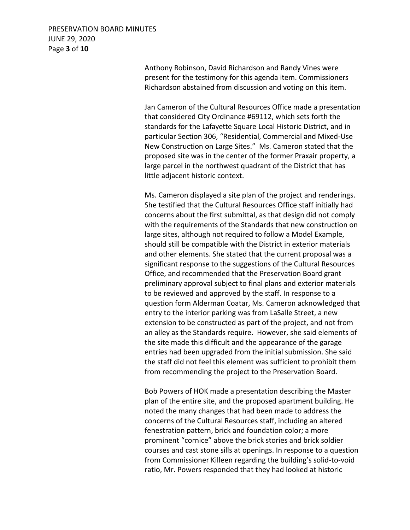# PRESERVATION BOARD MINUTES JUNE 29, 2020 Page **3** of **10**

Anthony Robinson, David Richardson and Randy Vines were present for the testimony for this agenda item. Commissioners Richardson abstained from discussion and voting on this item.

Jan Cameron of the Cultural Resources Office made a presentation that considered City Ordinance #69112, which sets forth the standards for the Lafayette Square Local Historic District, and in particular Section 306, "Residential, Commercial and Mixed-Use New Construction on Large Sites." Ms. Cameron stated that the proposed site was in the center of the former Praxair property, a large parcel in the northwest quadrant of the District that has little adjacent historic context.

Ms. Cameron displayed a site plan of the project and renderings. She testified that the Cultural Resources Office staff initially had concerns about the first submittal, as that design did not comply with the requirements of the Standards that new construction on large sites, although not required to follow a Model Example, should still be compatible with the District in exterior materials and other elements. She stated that the current proposal was a significant response to the suggestions of the Cultural Resources Office, and recommended that the Preservation Board grant preliminary approval subject to final plans and exterior materials to be reviewed and approved by the staff. In response to a question form Alderman Coatar, Ms. Cameron acknowledged that entry to the interior parking was from LaSalle Street, a new extension to be constructed as part of the project, and not from an alley as the Standards require. However, she said elements of the site made this difficult and the appearance of the garage entries had been upgraded from the initial submission. She said the staff did not feel this element was sufficient to prohibit them from recommending the project to the Preservation Board.

Bob Powers of HOK made a presentation describing the Master plan of the entire site, and the proposed apartment building. He noted the many changes that had been made to address the concerns of the Cultural Resources staff, including an altered fenestration pattern, brick and foundation color; a more prominent "cornice" above the brick stories and brick soldier courses and cast stone sills at openings. In response to a question from Commissioner Killeen regarding the building's solid-to-void ratio, Mr. Powers responded that they had looked at historic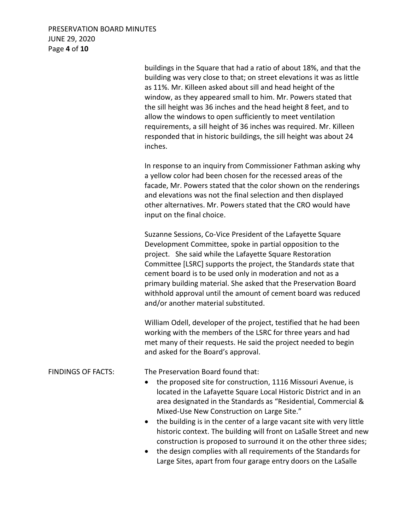# PRESERVATION BOARD MINUTES JUNE 29, 2020 Page **4** of **10**

buildings in the Square that had a ratio of about 18%, and that the building was very close to that; on street elevations it was as little as 11%. Mr. Killeen asked about sill and head height of the window, as they appeared small to him. Mr. Powers stated that the sill height was 36 inches and the head height 8 feet, and to allow the windows to open sufficiently to meet ventilation requirements, a sill height of 36 inches was required. Mr. Killeen responded that in historic buildings, the sill height was about 24 inches.

In response to an inquiry from Commissioner Fathman asking why a yellow color had been chosen for the recessed areas of the facade, Mr. Powers stated that the color shown on the renderings and elevations was not the final selection and then displayed other alternatives. Mr. Powers stated that the CRO would have input on the final choice.

Suzanne Sessions, Co-Vice President of the Lafayette Square Development Committee, spoke in partial opposition to the project. She said while the Lafayette Square Restoration Committee [LSRC] supports the project, the Standards state that cement board is to be used only in moderation and not as a primary building material. She asked that the Preservation Board withhold approval until the amount of cement board was reduced and/or another material substituted.

William Odell, developer of the project, testified that he had been working with the members of the LSRC for three years and had met many of their requests. He said the project needed to begin and asked for the Board's approval.

FINDINGS OF FACTS: The Preservation Board found that:

- the proposed site for construction, 1116 Missouri Avenue, is located in the Lafayette Square Local Historic District and in an area designated in the Standards as "Residential, Commercial & Mixed-Use New Construction on Large Site."
- the building is in the center of a large vacant site with very little historic context. The building will front on LaSalle Street and new construction is proposed to surround it on the other three sides;
- the design complies with all requirements of the Standards for Large Sites, apart from four garage entry doors on the LaSalle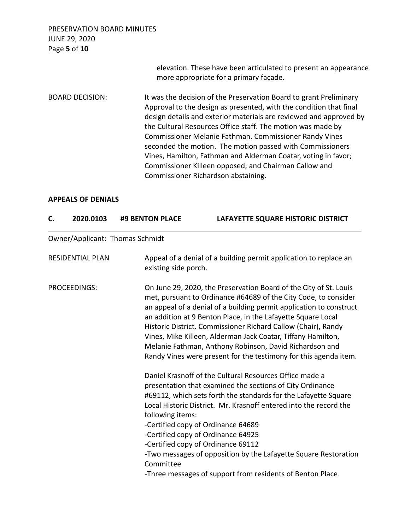PRESERVATION BOARD MINUTES JUNE 29, 2020 Page **5** of **10** elevation. These have been articulated to present an appearance more appropriate for a primary façade. BOARD DECISION: It was the decision of the Preservation Board to grant Preliminary Approval to the design as presented, with the condition that final design details and exterior materials are reviewed and approved by the Cultural Resources Office staff. The motion was made by Commissioner Melanie Fathman. Commissioner Randy Vines seconded the motion. The motion passed with Commissioners Vines, Hamilton, Fathman and Alderman Coatar, voting in favor; Commissioner Killeen opposed; and Chairman Callow and Commissioner Richardson abstaining.

#### **APPEALS OF DENIALS**

| C. | 2020.0103               | #9 BENTON PLACE                 | LAFAYETTE SQUARE HISTORIC DISTRICT                                                                                                                                                                                                                                                                                                                                                                                                                                                                                                          |
|----|-------------------------|---------------------------------|---------------------------------------------------------------------------------------------------------------------------------------------------------------------------------------------------------------------------------------------------------------------------------------------------------------------------------------------------------------------------------------------------------------------------------------------------------------------------------------------------------------------------------------------|
|    |                         | Owner/Applicant: Thomas Schmidt |                                                                                                                                                                                                                                                                                                                                                                                                                                                                                                                                             |
|    | <b>RESIDENTIAL PLAN</b> | existing side porch.            | Appeal of a denial of a building permit application to replace an                                                                                                                                                                                                                                                                                                                                                                                                                                                                           |
|    | PROCEEDINGS:            |                                 | On June 29, 2020, the Preservation Board of the City of St. Louis<br>met, pursuant to Ordinance #64689 of the City Code, to consider<br>an appeal of a denial of a building permit application to construct<br>an addition at 9 Benton Place, in the Lafayette Square Local<br>Historic District. Commissioner Richard Callow (Chair), Randy<br>Vines, Mike Killeen, Alderman Jack Coatar, Tiffany Hamilton,<br>Melanie Fathman, Anthony Robinson, David Richardson and<br>Randy Vines were present for the testimony for this agenda item. |
|    |                         | following items:<br>Committee   | Daniel Krasnoff of the Cultural Resources Office made a<br>presentation that examined the sections of City Ordinance<br>#69112, which sets forth the standards for the Lafayette Square<br>Local Historic District. Mr. Krasnoff entered into the record the<br>-Certified copy of Ordinance 64689<br>-Certified copy of Ordinance 64925<br>-Certified copy of Ordinance 69112<br>-Two messages of opposition by the Lafayette Square Restoration<br>-Three messages of support from residents of Benton Place.                             |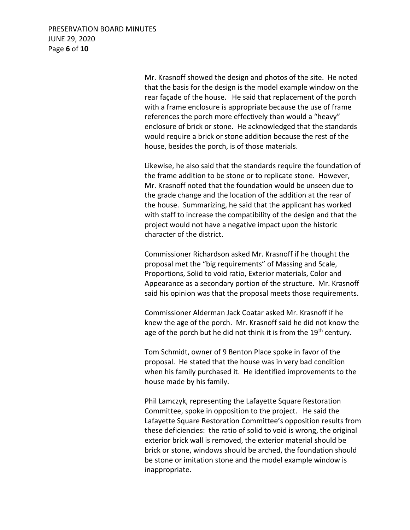PRESERVATION BOARD MINUTES JUNE 29, 2020 Page **6** of **10**

> Mr. Krasnoff showed the design and photos of the site. He noted that the basis for the design is the model example window on the rear façade of the house. He said that replacement of the porch with a frame enclosure is appropriate because the use of frame references the porch more effectively than would a "heavy" enclosure of brick or stone. He acknowledged that the standards would require a brick or stone addition because the rest of the house, besides the porch, is of those materials.

Likewise, he also said that the standards require the foundation of the frame addition to be stone or to replicate stone. However, Mr. Krasnoff noted that the foundation would be unseen due to the grade change and the location of the addition at the rear of the house. Summarizing, he said that the applicant has worked with staff to increase the compatibility of the design and that the project would not have a negative impact upon the historic character of the district.

Commissioner Richardson asked Mr. Krasnoff if he thought the proposal met the "big requirements" of Massing and Scale, Proportions, Solid to void ratio, Exterior materials, Color and Appearance as a secondary portion of the structure. Mr. Krasnoff said his opinion was that the proposal meets those requirements.

Commissioner Alderman Jack Coatar asked Mr. Krasnoff if he knew the age of the porch. Mr. Krasnoff said he did not know the age of the porch but he did not think it is from the  $19<sup>th</sup>$  century.

Tom Schmidt, owner of 9 Benton Place spoke in favor of the proposal. He stated that the house was in very bad condition when his family purchased it. He identified improvements to the house made by his family.

Phil Lamczyk, representing the Lafayette Square Restoration Committee, spoke in opposition to the project. He said the Lafayette Square Restoration Committee's opposition results from these deficiencies: the ratio of solid to void is wrong, the original exterior brick wall is removed, the exterior material should be brick or stone, windows should be arched, the foundation should be stone or imitation stone and the model example window is inappropriate.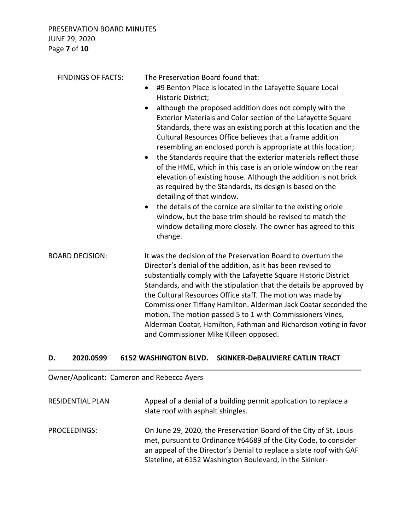| <b>FINDINGS OF FACTS:</b> | The Preservation Board found that:<br>#9 Benton Place is located in the Lafayette Square Local<br>$\bullet$<br>Historic District;<br>although the proposed addition does not comply with the<br>Exterior Materials and Color section of the Lafayette Square<br>Standards, there was an existing porch at this location and the<br>Cultural Resources Office believes that a frame addition<br>resembling an enclosed porch is appropriate at this location;<br>the Standards require that the exterior materials reflect those<br>$\bullet$<br>of the HME, which in this case is an oriole window on the rear<br>elevation of existing house. Although the addition is not brick<br>as required by the Standards, its design is based on the<br>detailing of that window.<br>the details of the cornice are similar to the existing oriole<br>$\bullet$<br>window, but the base trim should be revised to match the<br>window detailing more closely. The owner has agreed to this<br>change. |
|---------------------------|------------------------------------------------------------------------------------------------------------------------------------------------------------------------------------------------------------------------------------------------------------------------------------------------------------------------------------------------------------------------------------------------------------------------------------------------------------------------------------------------------------------------------------------------------------------------------------------------------------------------------------------------------------------------------------------------------------------------------------------------------------------------------------------------------------------------------------------------------------------------------------------------------------------------------------------------------------------------------------------------|
| <b>BOARD DECISION:</b>    | It was the decision of the Preservation Board to overturn the<br>Director's denial of the addition, as it has been revised to<br>substantially comply with the Lafayette Square Historic District<br>Standards, and with the stipulation that the details be approved by<br>the Cultural Resources Office staff. The motion was made by<br>Commissioner Tiffany Hamilton. Alderman Jack Coatar seconded the<br>motion. The motion passed 5 to 1 with Commissioners Vines,<br>Alderman Coatar, Hamilton, Fathman and Richardson voting in favor<br>and Commissioner Mike Killeen opposed.                                                                                                                                                                                                                                                                                                                                                                                                       |

## **D. 2020.0599 6152 WASHINGTON BLVD. SKINKER-DeBALIVIERE CATLIN TRACT**

Owner/Applicant: Cameron and Rebecca Ayers

| <b>RESIDENTIAL PLAN</b> | Appeal of a denial of a building permit application to replace a<br>slate roof with asphalt shingles.                                                                                                                                                                   |
|-------------------------|-------------------------------------------------------------------------------------------------------------------------------------------------------------------------------------------------------------------------------------------------------------------------|
| PROCEEDINGS:            | On June 29, 2020, the Preservation Board of the City of St. Louis<br>met, pursuant to Ordinance #64689 of the City Code, to consider<br>an appeal of the Director's Denial to replace a slate roof with GAF<br>Slateline, at 6152 Washington Boulevard, in the Skinker- |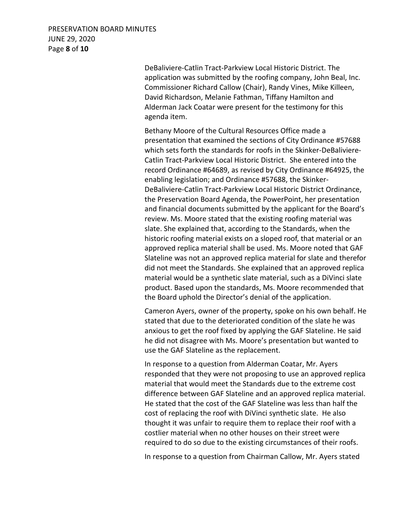# PRESERVATION BOARD MINUTES JUNE 29, 2020 Page **8** of **10**

DeBaliviere-Catlin Tract-Parkview Local Historic District. The application was submitted by the roofing company, John Beal, Inc. Commissioner Richard Callow (Chair), Randy Vines, Mike Killeen, David Richardson, Melanie Fathman, Tiffany Hamilton and Alderman Jack Coatar were present for the testimony for this agenda item.

Bethany Moore of the Cultural Resources Office made a presentation that examined the sections of City Ordinance #57688 which sets forth the standards for roofs in the Skinker-DeBaliviere-Catlin Tract-Parkview Local Historic District. She entered into the record Ordinance #64689, as revised by City Ordinance #64925, the enabling legislation; and Ordinance #57688, the Skinker-DeBaliviere-Catlin Tract-Parkview Local Historic District Ordinance, the Preservation Board Agenda, the PowerPoint, her presentation and financial documents submitted by the applicant for the Board's review. Ms. Moore stated that the existing roofing material was slate. She explained that, according to the Standards, when the historic roofing material exists on a sloped roof, that material or an approved replica material shall be used. Ms. Moore noted that GAF Slateline was not an approved replica material for slate and therefor did not meet the Standards. She explained that an approved replica material would be a synthetic slate material, such as a DiVinci slate product. Based upon the standards, Ms. Moore recommended that the Board uphold the Director's denial of the application.

Cameron Ayers, owner of the property, spoke on his own behalf. He stated that due to the deteriorated condition of the slate he was anxious to get the roof fixed by applying the GAF Slateline. He said he did not disagree with Ms. Moore's presentation but wanted to use the GAF Slateline as the replacement.

In response to a question from Alderman Coatar, Mr. Ayers responded that they were not proposing to use an approved replica material that would meet the Standards due to the extreme cost difference between GAF Slateline and an approved replica material. He stated that the cost of the GAF Slateline was less than half the cost of replacing the roof with DiVinci synthetic slate. He also thought it was unfair to require them to replace their roof with a costlier material when no other houses on their street were required to do so due to the existing circumstances of their roofs.

In response to a question from Chairman Callow, Mr. Ayers stated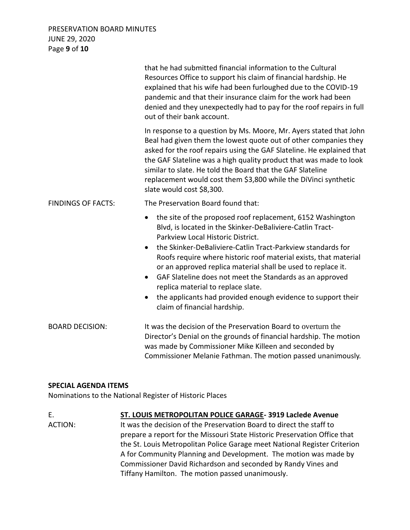## PRESERVATION BOARD MINUTES JUNE 29, 2020 Page **9** of **10**

|                           | that he had submitted financial information to the Cultural<br>Resources Office to support his claim of financial hardship. He<br>explained that his wife had been furloughed due to the COVID-19<br>pandemic and that their insurance claim for the work had been<br>denied and they unexpectedly had to pay for the roof repairs in full<br>out of their bank account.                                                                                                                                                                                                                    |
|---------------------------|---------------------------------------------------------------------------------------------------------------------------------------------------------------------------------------------------------------------------------------------------------------------------------------------------------------------------------------------------------------------------------------------------------------------------------------------------------------------------------------------------------------------------------------------------------------------------------------------|
|                           | In response to a question by Ms. Moore, Mr. Ayers stated that John<br>Beal had given them the lowest quote out of other companies they<br>asked for the roof repairs using the GAF Slateline. He explained that<br>the GAF Slateline was a high quality product that was made to look<br>similar to slate. He told the Board that the GAF Slateline<br>replacement would cost them \$3,800 while the DiVinci synthetic<br>slate would cost \$8,300.                                                                                                                                         |
| <b>FINDINGS OF FACTS:</b> | The Preservation Board found that:                                                                                                                                                                                                                                                                                                                                                                                                                                                                                                                                                          |
|                           | the site of the proposed roof replacement, 6152 Washington<br>$\bullet$<br>Blvd, is located in the Skinker-DeBaliviere-Catlin Tract-<br>Parkview Local Historic District.<br>the Skinker-DeBaliviere-Catlin Tract-Parkview standards for<br>Roofs require where historic roof material exists, that material<br>or an approved replica material shall be used to replace it.<br>GAF Slateline does not meet the Standards as an approved<br>$\bullet$<br>replica material to replace slate.<br>the applicants had provided enough evidence to support their<br>claim of financial hardship. |
| <b>BOARD DECISION:</b>    | It was the decision of the Preservation Board to overturn the<br>Director's Denial on the grounds of financial hardship. The motion<br>was made by Commissioner Mike Killeen and seconded by<br>Commissioner Melanie Fathman. The motion passed unanimously.                                                                                                                                                                                                                                                                                                                                |

## **SPECIAL AGENDA ITEMS**

Nominations to the National Register of Historic Places

E. **ST. LOUIS METROPOLITAN POLICE GARAGE- 3919 Laclede Avenue** ACTION: It was the decision of the Preservation Board to direct the staff to prepare a report for the Missouri State Historic Preservation Office that the St. Louis Metropolitan Police Garage meet National Register Criterion A for Community Planning and Development. The motion was made by Commissioner David Richardson and seconded by Randy Vines and Tiffany Hamilton. The motion passed unanimously.